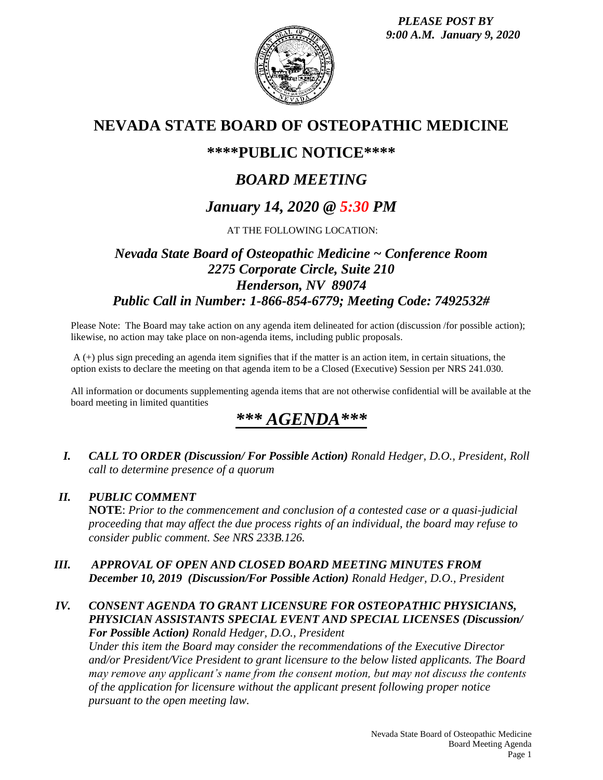*PLEASE POST BY 9:00 A.M. January 9, 2020*



## **NEVADA STATE BOARD OF OSTEOPATHIC MEDICINE**

## **\*\*\*\*PUBLIC NOTICE\*\*\*\***

# *BOARD MEETING*

# *January 14, 2020 @ 5:30 PM*

AT THE FOLLOWING LOCATION:

## *Nevada State Board of Osteopathic Medicine ~ Conference Room 2275 Corporate Circle, Suite 210 Henderson, NV 89074 Public Call in Number: 1-866-854-6779; Meeting Code: 7492532#*

Please Note: The Board may take action on any agenda item delineated for action (discussion /for possible action); likewise, no action may take place on non-agenda items, including public proposals.

A (+) plus sign preceding an agenda item signifies that if the matter is an action item, in certain situations, the option exists to declare the meeting on that agenda item to be a Closed (Executive) Session per NRS 241.030.

All information or documents supplementing agenda items that are not otherwise confidential will be available at the board meeting in limited quantities

# *\*\*\* AGENDA\*\*\**

*I. CALL TO ORDER (Discussion/ For Possible Action) Ronald Hedger, D.O., President, Roll call to determine presence of a quorum*

#### *II. PUBLIC COMMENT*

**NOTE**: *Prior to the commencement and conclusion of a contested case or a quasi-judicial proceeding that may affect the due process rights of an individual, the board may refuse to consider public comment. See NRS 233B.126.*

#### *III. APPROVAL OF OPEN AND CLOSED BOARD MEETING MINUTES FROM December 10, 2019 (Discussion/For Possible Action) Ronald Hedger, D.O., President*

#### *IV. CONSENT AGENDA TO GRANT LICENSURE FOR OSTEOPATHIC PHYSICIANS, PHYSICIAN ASSISTANTS SPECIAL EVENT AND SPECIAL LICENSES (Discussion/ For Possible Action) Ronald Hedger, D.O., President*

*Under this item the Board may consider the recommendations of the Executive Director and/or President/Vice President to grant licensure to the below listed applicants. The Board may remove any applicant's name from the consent motion, but may not discuss the contents of the application for licensure without the applicant present following proper notice pursuant to the open meeting law.*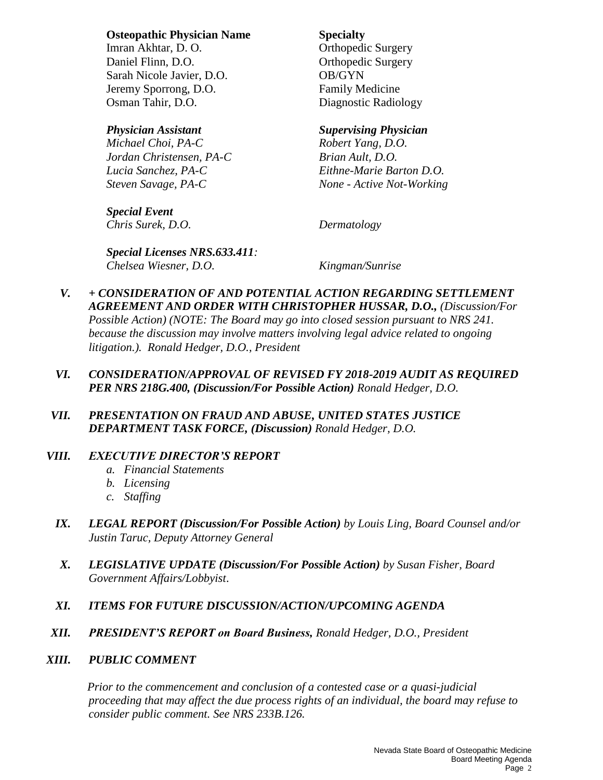#### **Osteopathic Physician Name Specialty**

Imran Akhtar, D. O. **O. C. C. Achtar** Orthopedic Surgery Daniel Flinn, D.O. **Orthopedic Surgery** Sarah Nicole Javier, D.O. **OB/GYN** Jeremy Sporrong, D.O. Family Medicine Osman Tahir, D.O. Diagnostic Radiology

*Michael Choi, PA-C Robert Yang, D.O. Jordan Christensen, PA-C Brian Ault, D.O.*

*Special Event Chris Surek, D.O. Dermatology*

#### *Physician Assistant Supervising Physician*

*Lucia Sanchez, PA-C Eithne-Marie Barton D.O. Steven Savage, PA-C None - Active Not-Working*

*Special Licenses NRS.633.411: Chelsea Wiesner, D.O. Kingman/Sunrise*

- *V. + CONSIDERATION OF AND POTENTIAL ACTION REGARDING SETTLEMENT AGREEMENT AND ORDER WITH CHRISTOPHER HUSSAR, D.O., (Discussion/For Possible Action) (NOTE: The Board may go into closed session pursuant to NRS 241. because the discussion may involve matters involving legal advice related to ongoing litigation.). Ronald Hedger, D.O., President*
- *VI. CONSIDERATION/APPROVAL OF REVISED FY 2018-2019 AUDIT AS REQUIRED PER NRS 218G.400, (Discussion/For Possible Action) Ronald Hedger, D.O.*
- *VII. PRESENTATION ON FRAUD AND ABUSE, UNITED STATES JUSTICE DEPARTMENT TASK FORCE, (Discussion) Ronald Hedger, D.O.*

### *VIII. EXECUTIVE DIRECTOR'S REPORT*

- *a. Financial Statements*
- *b. Licensing*
- *c. Staffing*
- *IX. LEGAL REPORT (Discussion/For Possible Action) by Louis Ling, Board Counsel and/or Justin Taruc, Deputy Attorney General*
- *X. LEGISLATIVE UPDATE (Discussion/For Possible Action) by Susan Fisher, Board Government Affairs/Lobbyist*.
- *XI. ITEMS FOR FUTURE DISCUSSION/ACTION/UPCOMING AGENDA*
- *XII. PRESIDENT'S REPORT on Board Business, Ronald Hedger, D.O., President*

#### *XIII. PUBLIC COMMENT*

*Prior to the commencement and conclusion of a contested case or a quasi-judicial proceeding that may affect the due process rights of an individual, the board may refuse to consider public comment. See NRS 233B.126.*